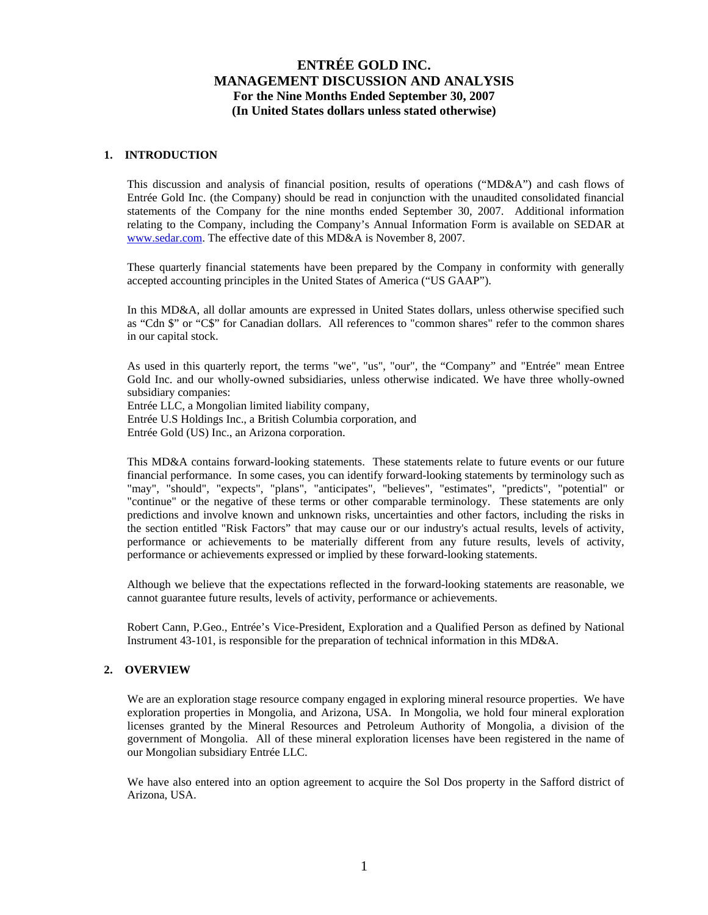### **1. INTRODUCTION**

This discussion and analysis of financial position, results of operations ("MD&A") and cash flows of Entrée Gold Inc. (the Company) should be read in conjunction with the unaudited consolidated financial statements of the Company for the nine months ended September 30, 2007. Additional information relating to the Company, including the Company's Annual Information Form is available on SEDAR at [www.sedar.com.](http://www.sedar.com/) The effective date of this MD&A is November 8, 2007.

These quarterly financial statements have been prepared by the Company in conformity with generally accepted accounting principles in the United States of America ("US GAAP").

In this MD&A, all dollar amounts are expressed in United States dollars, unless otherwise specified such as "Cdn \$" or "C\$" for Canadian dollars. All references to "common shares" refer to the common shares in our capital stock.

As used in this quarterly report, the terms "we", "us", "our", the "Company" and "Entrée" mean Entree Gold Inc. and our wholly-owned subsidiaries, unless otherwise indicated. We have three wholly-owned subsidiary companies:

Entrée LLC, a Mongolian limited liability company, Entrée U.S Holdings Inc., a British Columbia corporation, and Entrée Gold (US) Inc., an Arizona corporation.

This MD&A contains forward-looking statements. These statements relate to future events or our future financial performance. In some cases, you can identify forward-looking statements by terminology such as "may", "should", "expects", "plans", "anticipates", "believes", "estimates", "predicts", "potential" or "continue" or the negative of these terms or other comparable terminology. These statements are only predictions and involve known and unknown risks, uncertainties and other factors, including the risks in the section entitled "Risk Factors" that may cause our or our industry's actual results, levels of activity, performance or achievements to be materially different from any future results, levels of activity, performance or achievements expressed or implied by these forward-looking statements.

Although we believe that the expectations reflected in the forward-looking statements are reasonable, we cannot guarantee future results, levels of activity, performance or achievements.

Robert Cann, P.Geo., Entrée's Vice-President, Exploration and a Qualified Person as defined by National Instrument 43-101, is responsible for the preparation of technical information in this MD&A.

### **2. OVERVIEW**

We are an exploration stage resource company engaged in exploring mineral resource properties. We have exploration properties in Mongolia, and Arizona, USA. In Mongolia, we hold four mineral exploration licenses granted by the Mineral Resources and Petroleum Authority of Mongolia, a division of the government of Mongolia. All of these mineral exploration licenses have been registered in the name of our Mongolian subsidiary Entrée LLC.

We have also entered into an option agreement to acquire the Sol Dos property in the Safford district of Arizona, USA.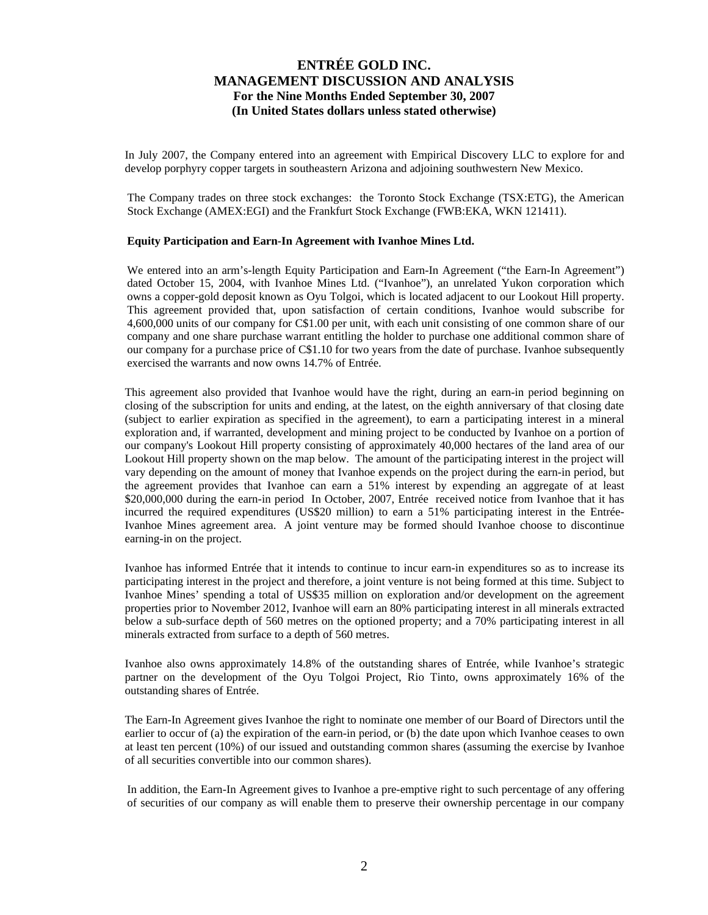In July 2007, the Company entered into an agreement with Empirical Discovery LLC to explore for and develop porphyry copper targets in southeastern Arizona and adjoining southwestern New Mexico.

The Company trades on three stock exchanges: the Toronto Stock Exchange (TSX:ETG), the American Stock Exchange (AMEX:EGI) and the Frankfurt Stock Exchange (FWB:EKA, WKN 121411).

#### **Equity Participation and Earn-In Agreement with Ivanhoe Mines Ltd.**

We entered into an arm's-length Equity Participation and Earn-In Agreement ("the Earn-In Agreement") dated October 15, 2004, with Ivanhoe Mines Ltd. ("Ivanhoe"), an unrelated Yukon corporation which owns a copper-gold deposit known as Oyu Tolgoi, which is located adjacent to our Lookout Hill property. This agreement provided that, upon satisfaction of certain conditions, Ivanhoe would subscribe for 4,600,000 units of our company for C\$1.00 per unit, with each unit consisting of one common share of our company and one share purchase warrant entitling the holder to purchase one additional common share of our company for a purchase price of C\$1.10 for two years from the date of purchase. Ivanhoe subsequently exercised the warrants and now owns 14.7% of Entrée.

This agreement also provided that Ivanhoe would have the right, during an earn-in period beginning on closing of the subscription for units and ending, at the latest, on the eighth anniversary of that closing date (subject to earlier expiration as specified in the agreement), to earn a participating interest in a mineral exploration and, if warranted, development and mining project to be conducted by Ivanhoe on a portion of our company's Lookout Hill property consisting of approximately 40,000 hectares of the land area of our Lookout Hill property shown on the map below. The amount of the participating interest in the project will vary depending on the amount of money that Ivanhoe expends on the project during the earn-in period, but the agreement provides that Ivanhoe can earn a 51% interest by expending an aggregate of at least \$20,000,000 during the earn-in period In October, 2007, Entrée received notice from Ivanhoe that it has incurred the required expenditures (US\$20 million) to earn a 51% participating interest in the Entrée-Ivanhoe Mines agreement area. A joint venture may be formed should Ivanhoe choose to discontinue earning-in on the project.

Ivanhoe has informed Entrée that it intends to continue to incur earn-in expenditures so as to increase its participating interest in the project and therefore, a joint venture is not being formed at this time. Subject to Ivanhoe Mines' spending a total of US\$35 million on exploration and/or development on the agreement properties prior to November 2012, Ivanhoe will earn an 80% participating interest in all minerals extracted below a sub-surface depth of 560 metres on the optioned property; and a 70% participating interest in all minerals extracted from surface to a depth of 560 metres.

Ivanhoe also owns approximately 14.8% of the outstanding shares of Entrée, while Ivanhoe's strategic partner on the development of the Oyu Tolgoi Project, Rio Tinto, owns approximately 16% of the outstanding shares of Entrée.

The Earn-In Agreement gives Ivanhoe the right to nominate one member of our Board of Directors until the earlier to occur of (a) the expiration of the earn-in period, or (b) the date upon which Ivanhoe ceases to own at least ten percent (10%) of our issued and outstanding common shares (assuming the exercise by Ivanhoe of all securities convertible into our common shares).

In addition, the Earn-In Agreement gives to Ivanhoe a pre-emptive right to such percentage of any offering of securities of our company as will enable them to preserve their ownership percentage in our company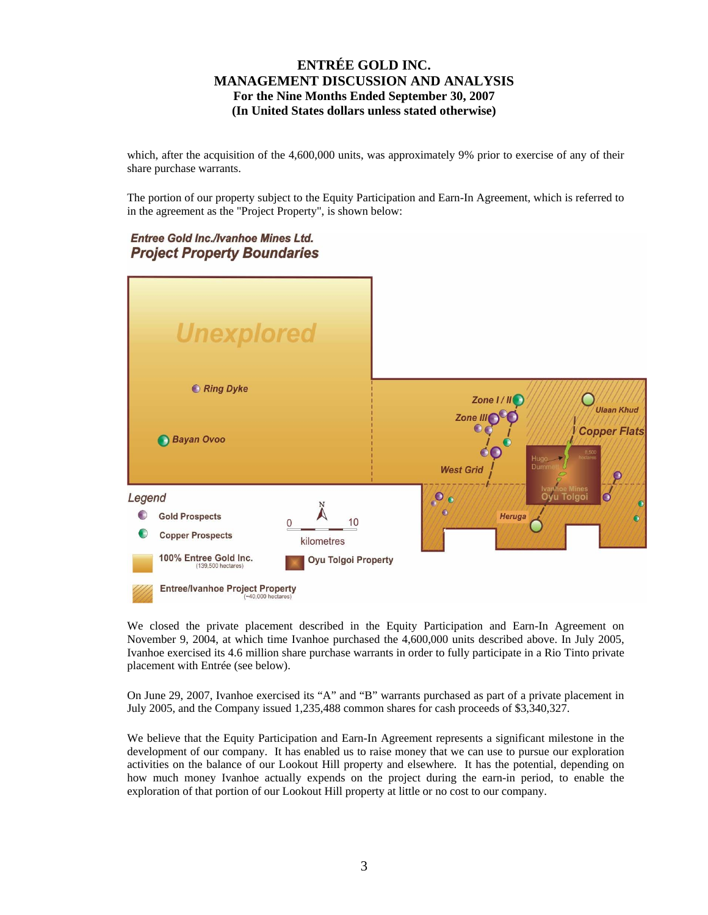which, after the acquisition of the 4,600,000 units, was approximately 9% prior to exercise of any of their share purchase warrants.

The portion of our property subject to the Equity Participation and Earn-In Agreement, which is referred to in the agreement as the "Project Property", is shown below:

## **Entree Gold Inc./Ivanhoe Mines Ltd. Project Property Boundaries**



We closed the private placement described in the Equity Participation and Earn-In Agreement on November 9, 2004, at which time Ivanhoe purchased the 4,600,000 units described above. In July 2005, Ivanhoe exercised its 4.6 million share purchase warrants in order to fully participate in a Rio Tinto private placement with Entrée (see below).

On June 29, 2007, Ivanhoe exercised its "A" and "B" warrants purchased as part of a private placement in July 2005, and the Company issued 1,235,488 common shares for cash proceeds of \$3,340,327.

We believe that the Equity Participation and Earn-In Agreement represents a significant milestone in the development of our company. It has enabled us to raise money that we can use to pursue our exploration activities on the balance of our Lookout Hill property and elsewhere. It has the potential, depending on how much money Ivanhoe actually expends on the project during the earn-in period, to enable the exploration of that portion of our Lookout Hill property at little or no cost to our company.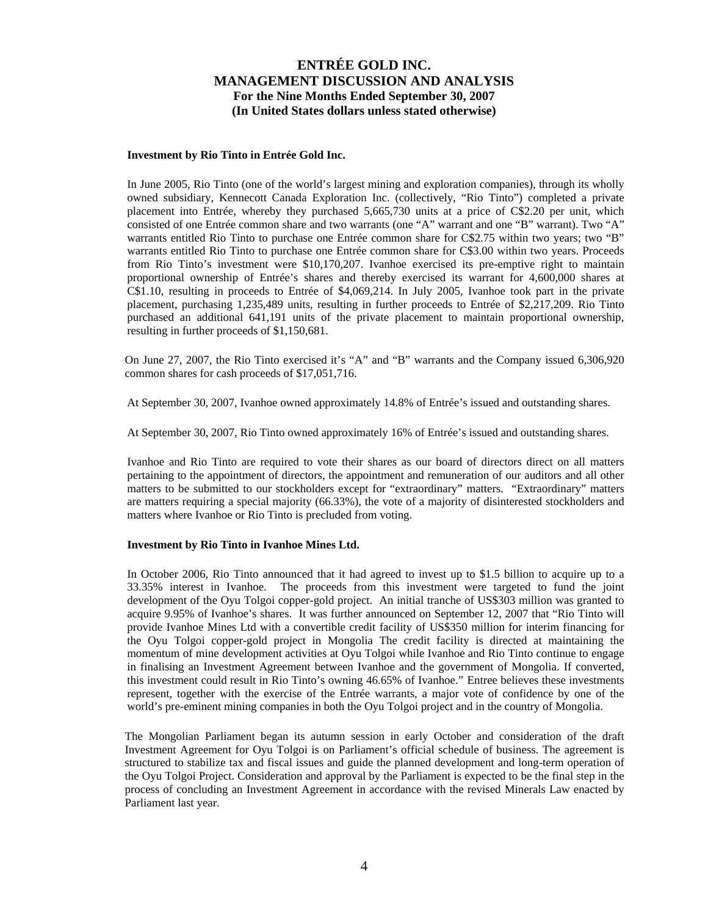#### **Investment by Rio Tinto in Entrée Gold Inc.**

In June 2005, Rio Tinto (one of the world's largest mining and exploration companies), through its wholly owned subsidiary, Kennecott Canada Exploration Inc. (collectively, "Rio Tinto") completed a private placement into Entrée, whereby they purchased 5,665,730 units at a price of C\$2.20 per unit, which consisted of one Entrée common share and two warrants (one "A" warrant and one "B" warrant). Two "A" warrants entitled Rio Tinto to purchase one Entrée common share for C\$2.75 within two years; two "B" warrants entitled Rio Tinto to purchase one Entrée common share for C\$3.00 within two years. Proceeds from Rio Tinto's investment were \$10,170,207. Ivanhoe exercised its pre-emptive right to maintain proportional ownership of Entrée's shares and thereby exercised its warrant for 4,600,000 shares at C\$1.10, resulting in proceeds to Entrée of \$4,069,214. In July 2005, Ivanhoe took part in the private placement, purchasing 1,235,489 units, resulting in further proceeds to Entrée of \$2,217,209. Rio Tinto purchased an additional 641,191 units of the private placement to maintain proportional ownership, resulting in further proceeds of \$1,150,681.

On June 27, 2007, the Rio Tinto exercised it's "A" and "B" warrants and the Company issued 6,306,920 common shares for cash proceeds of \$17,051,716.

At September 30, 2007, Ivanhoe owned approximately 14.8% of Entrée's issued and outstanding shares.

At September 30, 2007, Rio Tinto owned approximately 16% of Entrée's issued and outstanding shares.

Ivanhoe and Rio Tinto are required to vote their shares as our board of directors direct on all matters pertaining to the appointment of directors, the appointment and remuneration of our auditors and all other matters to be submitted to our stockholders except for "extraordinary" matters. "Extraordinary" matters are matters requiring a special majority (66.33%), the vote of a majority of disinterested stockholders and matters where Ivanhoe or Rio Tinto is precluded from voting.

#### **Investment by Rio Tinto in Ivanhoe Mines Ltd.**

In October 2006, Rio Tinto announced that it had agreed to invest up to \$1.5 billion to acquire up to a 33.35% interest in Ivanhoe. The proceeds from this investment were targeted to fund the joint development of the Oyu Tolgoi copper-gold project. An initial tranche of US\$303 million was granted to acquire 9.95% of Ivanhoe's shares. It was further announced on September 12, 2007 that "Rio Tinto will provide Ivanhoe Mines Ltd with a convertible credit facility of US\$350 million for interim financing for the Oyu Tolgoi copper-gold project in Mongolia The credit facility is directed at maintaining the momentum of mine development activities at Oyu Tolgoi while Ivanhoe and Rio Tinto continue to engage in finalising an Investment Agreement between Ivanhoe and the government of Mongolia. If converted, this investment could result in Rio Tinto's owning 46.65% of Ivanhoe." Entree believes these investments represent, together with the exercise of the Entrée warrants, a major vote of confidence by one of the world's pre-eminent mining companies in both the Oyu Tolgoi project and in the country of Mongolia.

The Mongolian Parliament began its autumn session in early October and consideration of the draft Investment Agreement for Oyu Tolgoi is on Parliament's official schedule of business. The agreement is structured to stabilize tax and fiscal issues and guide the planned development and long-term operation of the Oyu Tolgoi Project. Consideration and approval by the Parliament is expected to be the final step in the process of concluding an Investment Agreement in accordance with the revised Minerals Law enacted by Parliament last year.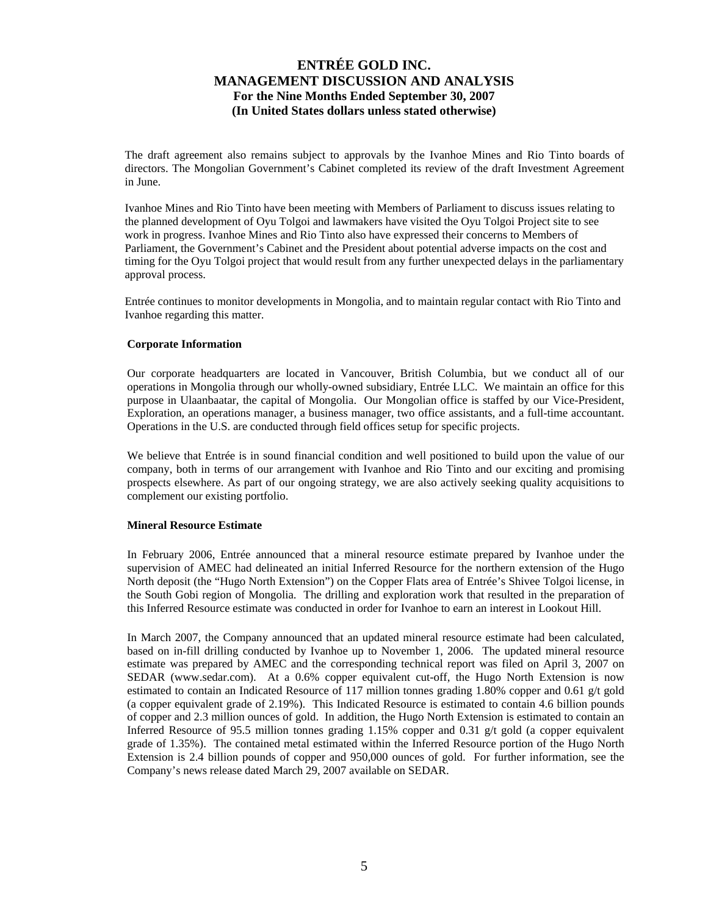The draft agreement also remains subject to approvals by the Ivanhoe Mines and Rio Tinto boards of directors. The Mongolian Government's Cabinet completed its review of the draft Investment Agreement in June.

Ivanhoe Mines and Rio Tinto have been meeting with Members of Parliament to discuss issues relating to the planned development of Oyu Tolgoi and lawmakers have visited the Oyu Tolgoi Project site to see work in progress. Ivanhoe Mines and Rio Tinto also have expressed their concerns to Members of Parliament, the Government's Cabinet and the President about potential adverse impacts on the cost and timing for the Oyu Tolgoi project that would result from any further unexpected delays in the parliamentary approval process.

Entrée continues to monitor developments in Mongolia, and to maintain regular contact with Rio Tinto and Ivanhoe regarding this matter.

#### **Corporate Information**

Our corporate headquarters are located in Vancouver, British Columbia, but we conduct all of our operations in Mongolia through our wholly-owned subsidiary, Entrée LLC. We maintain an office for this purpose in Ulaanbaatar, the capital of Mongolia. Our Mongolian office is staffed by our Vice-President, Exploration, an operations manager, a business manager, two office assistants, and a full-time accountant. Operations in the U.S. are conducted through field offices setup for specific projects.

We believe that Entrée is in sound financial condition and well positioned to build upon the value of our company, both in terms of our arrangement with Ivanhoe and Rio Tinto and our exciting and promising prospects elsewhere. As part of our ongoing strategy, we are also actively seeking quality acquisitions to complement our existing portfolio.

#### **Mineral Resource Estimate**

In February 2006, Entrée announced that a mineral resource estimate prepared by Ivanhoe under the supervision of AMEC had delineated an initial Inferred Resource for the northern extension of the Hugo North deposit (the "Hugo North Extension") on the Copper Flats area of Entrée's Shivee Tolgoi license, in the South Gobi region of Mongolia. The drilling and exploration work that resulted in the preparation of this Inferred Resource estimate was conducted in order for Ivanhoe to earn an interest in Lookout Hill.

In March 2007, the Company announced that an updated mineral resource estimate had been calculated, based on in-fill drilling conducted by Ivanhoe up to November 1, 2006. The updated mineral resource estimate was prepared by AMEC and the corresponding technical report was filed on April 3, 2007 on SEDAR ([www.sedar.com\)](http://www.sedar.com/). At a 0.6% copper equivalent cut-off, the Hugo North Extension is now estimated to contain an Indicated Resource of 117 million tonnes grading 1.80% copper and 0.61 g/t gold (a copper equivalent grade of 2.19%). This Indicated Resource is estimated to contain 4.6 billion pounds of copper and 2.3 million ounces of gold. In addition, the Hugo North Extension is estimated to contain an Inferred Resource of 95.5 million tonnes grading  $1.15\%$  copper and 0.31 g/t gold (a copper equivalent grade of 1.35%). The contained metal estimated within the Inferred Resource portion of the Hugo North Extension is 2.4 billion pounds of copper and 950,000 ounces of gold. For further information, see the Company's news release dated March 29, 2007 available on SEDAR.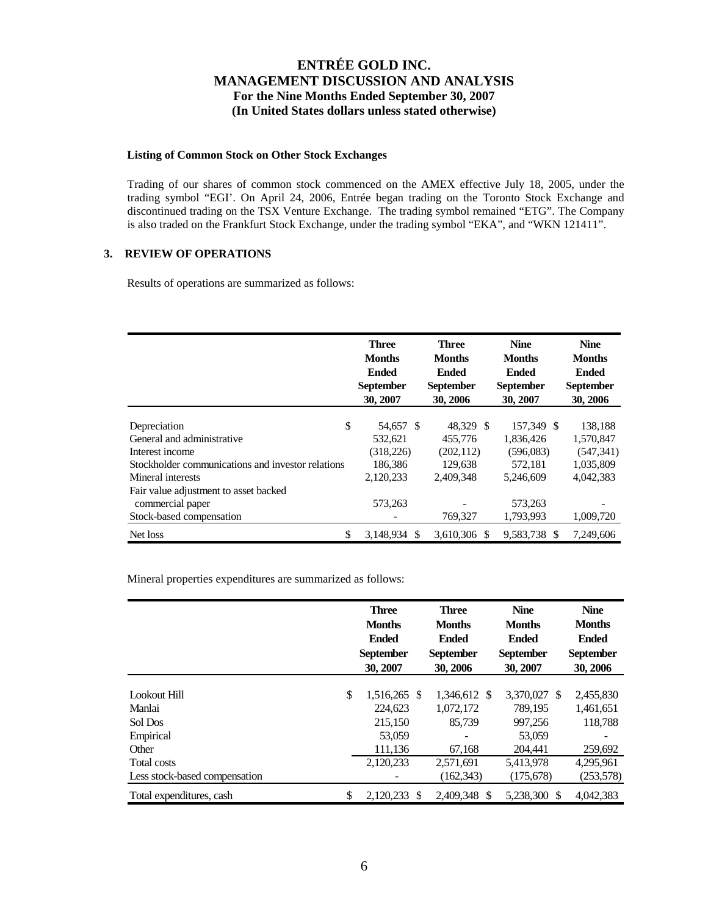### **Listing of Common Stock on Other Stock Exchanges**

Trading of our shares of common stock commenced on the AMEX effective July 18, 2005, under the trading symbol "EGI'. On April 24, 2006, Entrée began trading on the Toronto Stock Exchange and discontinued trading on the TSX Venture Exchange. The trading symbol remained "ETG". The Company is also traded on the Frankfurt Stock Exchange, under the trading symbol "EKA", and "WKN 121411".

## **3. REVIEW OF OPERATIONS**

Results of operations are summarized as follows:

|                                                   | <b>Three</b><br><b>Months</b><br>Ended<br><b>September</b><br>30, 2007 | <b>Three</b><br><b>Months</b><br><b>Ended</b><br><b>September</b><br>30, 2006 | <b>Nine</b><br><b>Months</b><br><b>Ended</b><br><b>September</b><br>30, 2007 | <b>Nine</b><br><b>Months</b><br>Ended<br><b>September</b><br>30, 2006 |
|---------------------------------------------------|------------------------------------------------------------------------|-------------------------------------------------------------------------------|------------------------------------------------------------------------------|-----------------------------------------------------------------------|
|                                                   |                                                                        |                                                                               |                                                                              |                                                                       |
| \$<br>Depreciation                                | 54,657 \$                                                              | 48,329 \$                                                                     | 157,349 \$                                                                   | 138,188                                                               |
| General and administrative                        | 532,621                                                                | 455,776                                                                       | 1,836,426                                                                    | 1,570,847                                                             |
| Interest income                                   | (318, 226)                                                             | (202, 112)                                                                    | (596,083)                                                                    | (547, 341)                                                            |
| Stockholder communications and investor relations | 186,386                                                                | 129,638                                                                       | 572,181                                                                      | 1,035,809                                                             |
| Mineral interests                                 | 2,120,233                                                              | 2,409,348                                                                     | 5,246,609                                                                    | 4,042,383                                                             |
| Fair value adjustment to asset backed             |                                                                        |                                                                               |                                                                              |                                                                       |
| commercial paper                                  | 573,263                                                                |                                                                               | 573,263                                                                      |                                                                       |
| Stock-based compensation                          |                                                                        | 769,327                                                                       | 1,793,993                                                                    | 1,009,720                                                             |
| \$<br>Net loss                                    | 3,148,934                                                              | 3,610,306<br>\$.                                                              | 9,583,738 \$                                                                 | 7,249,606                                                             |

Mineral properties expenditures are summarized as follows:

|                               | <b>Three</b><br><b>Months</b><br><b>Ended</b><br><b>September</b><br>30, 2007 | <b>Three</b><br><b>Months</b><br><b>Ended</b><br><b>September</b><br>30, 2006 | <b>Nine</b><br><b>Months</b><br><b>Ended</b><br><b>September</b><br>30, 2007 | <b>Nine</b><br><b>Months</b><br><b>Ended</b><br><b>September</b><br>30, 2006 |           |
|-------------------------------|-------------------------------------------------------------------------------|-------------------------------------------------------------------------------|------------------------------------------------------------------------------|------------------------------------------------------------------------------|-----------|
| Lookout Hill                  | \$<br>1,516,265 \$                                                            | 1,346,612 \$                                                                  | 3,370,027 \$                                                                 | 2,455,830                                                                    |           |
| Manlai                        | 224,623                                                                       | 1,072,172                                                                     | 789.195                                                                      | 1,461,651                                                                    |           |
| Sol Dos                       | 215,150                                                                       | 85,739                                                                        | 997.256                                                                      |                                                                              | 118.788   |
| Empirical                     | 53,059                                                                        |                                                                               | 53,059                                                                       |                                                                              |           |
| Other                         | 111,136                                                                       | 67,168                                                                        | 204.441                                                                      |                                                                              | 259,692   |
| Total costs                   | 2,120,233                                                                     | 2,571,691                                                                     | 5,413,978                                                                    | 4,295,961                                                                    |           |
| Less stock-based compensation |                                                                               | (162, 343)                                                                    | (175, 678)                                                                   |                                                                              | (253,578) |
| Total expenditures, cash      | \$<br>2,120,233 \$                                                            | 2,409,348 \$                                                                  | 5,238,300 \$                                                                 | 4,042,383                                                                    |           |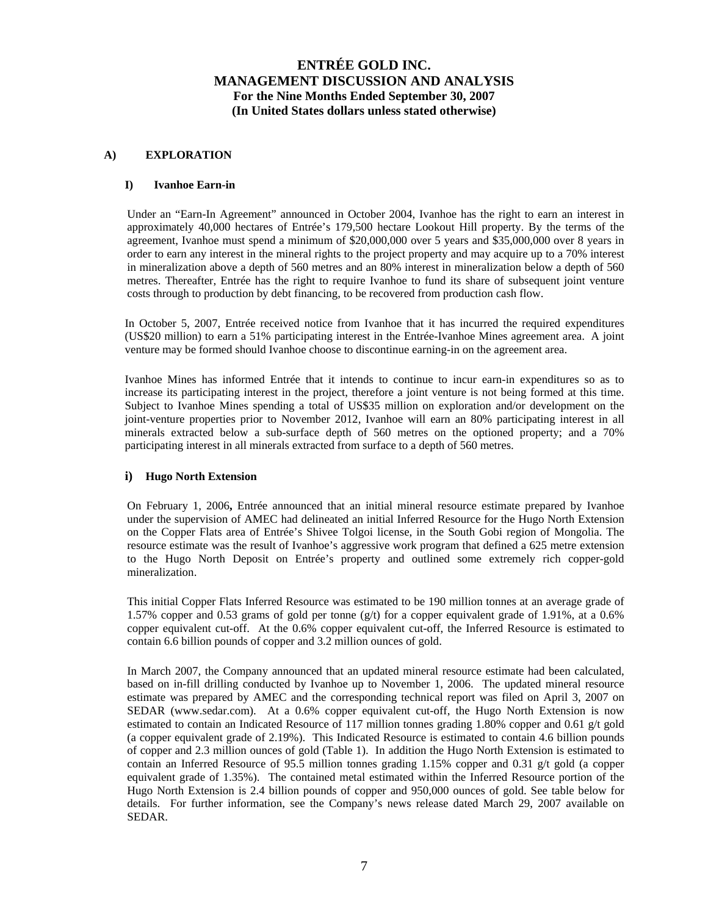### **A) EXPLORATION**

### **I) Ivanhoe Earn-in**

Under an "Earn-In Agreement" announced in October 2004, Ivanhoe has the right to earn an interest in approximately 40,000 hectares of Entrée's 179,500 hectare Lookout Hill property. By the terms of the agreement, Ivanhoe must spend a minimum of \$20,000,000 over 5 years and \$35,000,000 over 8 years in order to earn any interest in the mineral rights to the project property and may acquire up to a 70% interest in mineralization above a depth of 560 metres and an 80% interest in mineralization below a depth of 560 metres. Thereafter, Entrée has the right to require Ivanhoe to fund its share of subsequent joint venture costs through to production by debt financing, to be recovered from production cash flow.

In October 5, 2007, Entrée received notice from Ivanhoe that it has incurred the required expenditures (US\$20 million) to earn a 51% participating interest in the Entrée-Ivanhoe Mines agreement area. A joint venture may be formed should Ivanhoe choose to discontinue earning-in on the agreement area.

Ivanhoe Mines has informed Entrée that it intends to continue to incur earn-in expenditures so as to increase its participating interest in the project, therefore a joint venture is not being formed at this time. Subject to Ivanhoe Mines spending a total of US\$35 million on exploration and/or development on the joint-venture properties prior to November 2012, Ivanhoe will earn an 80% participating interest in all minerals extracted below a sub-surface depth of 560 metres on the optioned property; and a 70% participating interest in all minerals extracted from surface to a depth of 560 metres.

### **i) Hugo North Extension**

On February 1, 2006**,** Entrée announced that an initial mineral resource estimate prepared by Ivanhoe under the supervision of AMEC had delineated an initial Inferred Resource for the Hugo North Extension on the Copper Flats area of Entrée's Shivee Tolgoi license, in the South Gobi region of Mongolia. The resource estimate was the result of Ivanhoe's aggressive work program that defined a 625 metre extension to the Hugo North Deposit on Entrée's property and outlined some extremely rich copper-gold mineralization.

This initial Copper Flats Inferred Resource was estimated to be 190 million tonnes at an average grade of 1.57% copper and 0.53 grams of gold per tonne (g/t) for a copper equivalent grade of 1.91%, at a 0.6% copper equivalent cut-off. At the 0.6% copper equivalent cut-off, the Inferred Resource is estimated to contain 6.6 billion pounds of copper and 3.2 million ounces of gold.

In March 2007, the Company announced that an updated mineral resource estimate had been calculated, based on in-fill drilling conducted by Ivanhoe up to November 1, 2006. The updated mineral resource estimate was prepared by AMEC and the corresponding technical report was filed on April 3, 2007 on SEDAR ([www.sedar.com\)](http://www.sedar.com/). At a 0.6% copper equivalent cut-off, the Hugo North Extension is now estimated to contain an Indicated Resource of 117 million tonnes grading 1.80% copper and 0.61 g/t gold (a copper equivalent grade of 2.19%). This Indicated Resource is estimated to contain 4.6 billion pounds of copper and 2.3 million ounces of gold (Table 1). In addition the Hugo North Extension is estimated to contain an Inferred Resource of 95.5 million tonnes grading 1.15% copper and 0.31 g/t gold (a copper equivalent grade of 1.35%). The contained metal estimated within the Inferred Resource portion of the Hugo North Extension is 2.4 billion pounds of copper and 950,000 ounces of gold. See table below for details. For further information, see the Company's news release dated March 29, 2007 available on SEDAR.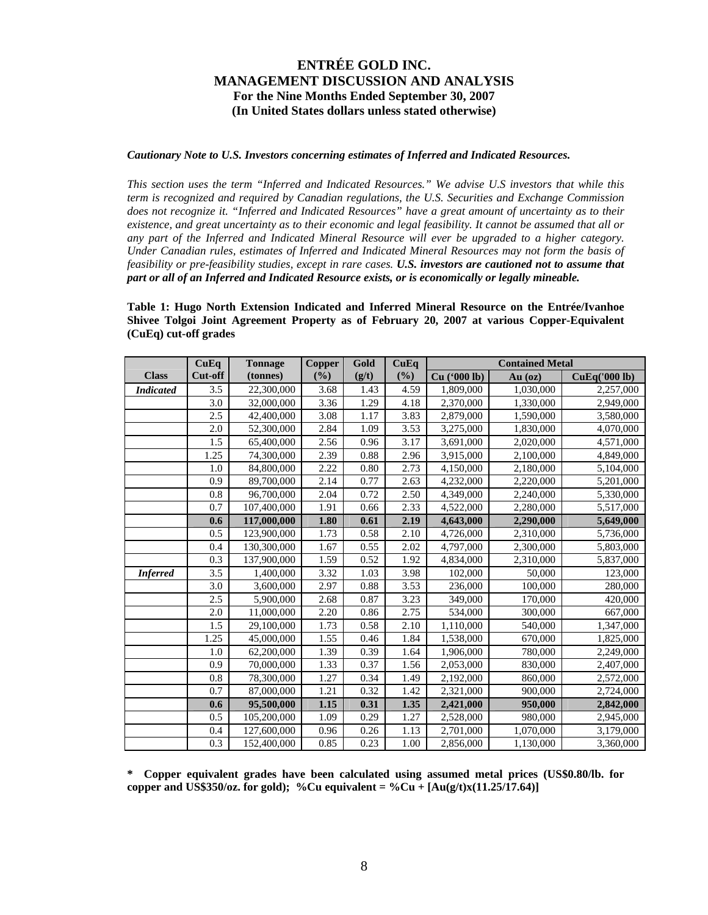#### *Cautionary Note to U.S. Investors concerning estimates of Inferred and Indicated Resources.*

*This section uses the term "Inferred and Indicated Resources." We advise U.S investors that while this term is recognized and required by Canadian regulations, the U.S. Securities and Exchange Commission does not recognize it. "Inferred and Indicated Resources" have a great amount of uncertainty as to their existence, and great uncertainty as to their economic and legal feasibility. It cannot be assumed that all or any part of the Inferred and Indicated Mineral Resource will ever be upgraded to a higher category. Under Canadian rules, estimates of Inferred and Indicated Mineral Resources may not form the basis of feasibility or pre-feasibility studies, except in rare cases. U.S. investors are cautioned not to assume that part or all of an Inferred and Indicated Resource exists, or is economically or legally mineable.* 

**Table 1: Hugo North Extension Indicated and Inferred Mineral Resource on the Entrée/Ivanhoe Shivee Tolgoi Joint Agreement Property as of February 20, 2007 at various Copper-Equivalent (CuEq) cut-off grades** 

|                  | CuEq    | <b>Tonnage</b> | Copper | Gold     | CuEq | <b>Contained Metal</b> |           |               |
|------------------|---------|----------------|--------|----------|------|------------------------|-----------|---------------|
| <b>Class</b>     | Cut-off | (tonnes)       | (%)    | (g/t)    | (%)  | Cu ('000 lb)           | $Au$ (oz) | CuEq('000 lb) |
| <b>Indicated</b> | 3.5     | 22,300,000     | 3.68   | 1.43     | 4.59 | 1,809,000              | 1,030,000 | 2,257,000     |
|                  | 3.0     | 32,000,000     | 3.36   | 1.29     | 4.18 | 2,370,000              | 1,330,000 | 2,949,000     |
|                  | 2.5     | 42,400,000     | 3.08   | 1.17     | 3.83 | 2,879,000              | 1,590,000 | 3,580,000     |
|                  | 2.0     | 52,300,000     | 2.84   | 1.09     | 3.53 | 3,275,000              | 1,830,000 | 4,070,000     |
|                  | 1.5     | 65,400,000     | 2.56   | 0.96     | 3.17 | 3,691,000              | 2,020,000 | 4,571,000     |
|                  | 1.25    | 74,300,000     | 2.39   | 0.88     | 2.96 | 3,915,000              | 2,100,000 | 4,849,000     |
|                  | 1.0     | 84,800,000     | 2.22   | 0.80     | 2.73 | 4,150,000              | 2,180,000 | 5,104,000     |
|                  | 0.9     | 89,700,000     | 2.14   | 0.77     | 2.63 | 4,232,000              | 2,220,000 | 5,201,000     |
|                  | 0.8     | 96,700,000     | 2.04   | 0.72     | 2.50 | 4,349,000              | 2,240,000 | 5,330,000     |
|                  | 0.7     | 107,400,000    | 1.91   | 0.66     | 2.33 | 4,522,000              | 2,280,000 | 5,517,000     |
|                  | 0.6     | 117,000,000    | 1.80   | 0.61     | 2.19 | 4,643,000              | 2,290,000 | 5,649,000     |
|                  | 0.5     | 123,900,000    | 1.73   | 0.58     | 2.10 | 4,726,000              | 2,310,000 | 5,736,000     |
|                  | 0.4     | 130,300,000    | 1.67   | 0.55     | 2.02 | 4,797,000              | 2,300,000 | 5,803,000     |
|                  | 0.3     | 137,900,000    | 1.59   | 0.52     | 1.92 | 4,834,000              | 2,310,000 | 5,837,000     |
| <b>Inferred</b>  | 3.5     | 1,400,000      | 3.32   | 1.03     | 3.98 | 102,000                | 50,000    | 123,000       |
|                  | 3.0     | 3,600,000      | 2.97   | 0.88     | 3.53 | 236,000                | 100,000   | 280,000       |
|                  | 2.5     | 5,900,000      | 2.68   | 0.87     | 3.23 | 349,000                | 170,000   | 420,000       |
|                  | 2.0     | 11,000,000     | 2.20   | 0.86     | 2.75 | 534,000                | 300,000   | 667,000       |
|                  | 1.5     | 29,100,000     | 1.73   | 0.58     | 2.10 | 1,110,000              | 540,000   | 1,347,000     |
|                  | 1.25    | 45,000,000     | 1.55   | 0.46     | 1.84 | 1,538,000              | 670,000   | 1,825,000     |
|                  | 1.0     | 62,200,000     | 1.39   | 0.39     | 1.64 | 1,906,000              | 780,000   | 2,249,000     |
|                  | 0.9     | 70,000,000     | 1.33   | 0.37     | 1.56 | 2,053,000              | 830,000   | 2,407,000     |
|                  | 0.8     | 78,300,000     | 1.27   | 0.34     | 1.49 | 2,192,000              | 860,000   | 2,572,000     |
|                  | 0.7     | 87,000,000     | 1.21   | 0.32     | 1.42 | 2,321,000              | 900,000   | 2,724,000     |
|                  | 0.6     | 95,500,000     | 1.15   | 0.31     | 1.35 | 2,421,000              | 950,000   | 2,842,000     |
|                  | 0.5     | 105,200,000    | 1.09   | 0.29     | 1.27 | 2,528,000              | 980,000   | 2,945,000     |
|                  | 0.4     | 127,600,000    | 0.96   | $0.26\,$ | 1.13 | 2,701,000              | 1,070,000 | 3,179,000     |
|                  | 0.3     | 152,400,000    | 0.85   | 0.23     | 1.00 | 2,856,000              | 1,130,000 | 3,360,000     |

**\* Copper equivalent grades have been calculated using assumed metal prices (US\$0.80/lb. for copper and US\$350/oz. for gold); %Cu equivalent = %Cu +**  $[Au(g/t)x(11.25/17.64)]$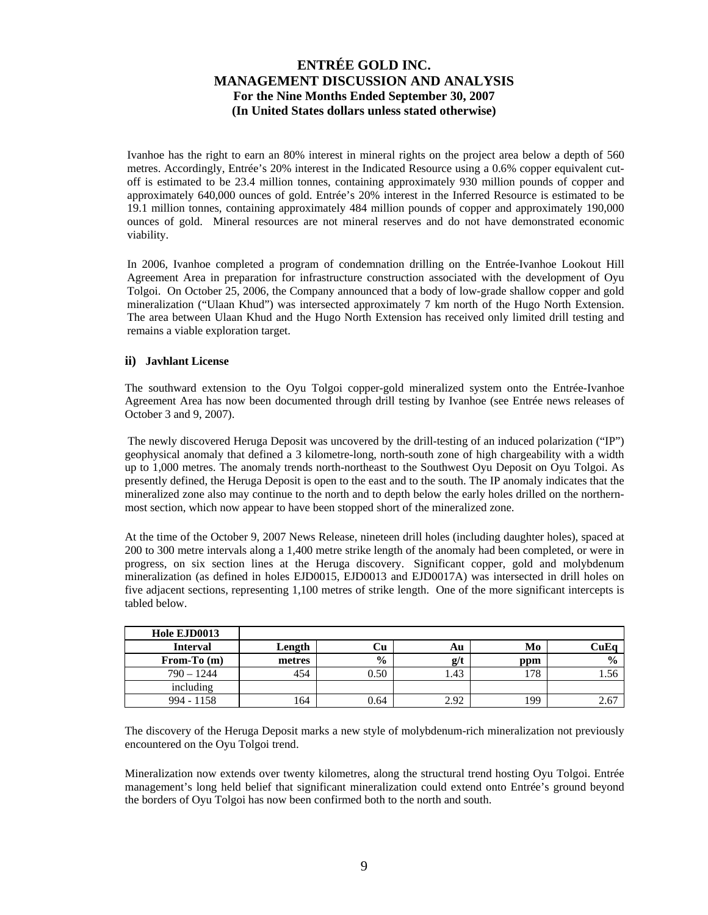Ivanhoe has the right to earn an 80% interest in mineral rights on the project area below a depth of 560 metres. Accordingly, Entrée's 20% interest in the Indicated Resource using a 0.6% copper equivalent cutoff is estimated to be 23.4 million tonnes, containing approximately 930 million pounds of copper and approximately 640,000 ounces of gold. Entrée's 20% interest in the Inferred Resource is estimated to be 19.1 million tonnes, containing approximately 484 million pounds of copper and approximately 190,000 ounces of gold. Mineral resources are not mineral reserves and do not have demonstrated economic viability.

In 2006, Ivanhoe completed a program of condemnation drilling on the Entrée-Ivanhoe Lookout Hill Agreement Area in preparation for infrastructure construction associated with the development of Oyu Tolgoi. On October 25, 2006, the Company announced that a body of low-grade shallow copper and gold mineralization ("Ulaan Khud") was intersected approximately 7 km north of the Hugo North Extension. The area between Ulaan Khud and the Hugo North Extension has received only limited drill testing and remains a viable exploration target.

### **ii) Javhlant License**

The southward extension to the Oyu Tolgoi copper-gold mineralized system onto the Entrée-Ivanhoe Agreement Area has now been documented through drill testing by Ivanhoe (see Entrée news releases of October 3 and 9, 2007).

 The newly discovered Heruga Deposit was uncovered by the drill-testing of an induced polarization ("IP") geophysical anomaly that defined a 3 kilometre-long, north-south zone of high chargeability with a width up to 1,000 metres. The anomaly trends north-northeast to the Southwest Oyu Deposit on Oyu Tolgoi. As presently defined, the Heruga Deposit is open to the east and to the south. The IP anomaly indicates that the mineralized zone also may continue to the north and to depth below the early holes drilled on the northernmost section, which now appear to have been stopped short of the mineralized zone.

At the time of the October 9, 2007 News Release, nineteen drill holes (including daughter holes), spaced at 200 to 300 metre intervals along a 1,400 metre strike length of the anomaly had been completed, or were in progress, on six section lines at the Heruga discovery. Significant copper, gold and molybdenum mineralization (as defined in holes EJD0015, EJD0013 and EJD0017A) was intersected in drill holes on five adjacent sections, representing 1,100 metres of strike length. One of the more significant intercepts is tabled below.

| Hole EJD0013    |        |               |      |     |               |
|-----------------|--------|---------------|------|-----|---------------|
| <b>Interval</b> | Length | Сu            | Au   | Mo  | CuEo          |
| From-To $(m)$   | metres | $\frac{6}{9}$ | g/t  | ppm | $\frac{0}{0}$ |
| $790 - 1244$    | 454    | 0.50          | .43  | 178 | 1.56          |
| including       |        |               |      |     |               |
| $994 - 1158$    | 164    | 0.64          | 2.92 | 199 | 2.67          |

The discovery of the Heruga Deposit marks a new style of molybdenum-rich mineralization not previously encountered on the Oyu Tolgoi trend.

Mineralization now extends over twenty kilometres, along the structural trend hosting Oyu Tolgoi. Entrée management's long held belief that significant mineralization could extend onto Entrée's ground beyond the borders of Oyu Tolgoi has now been confirmed both to the north and south.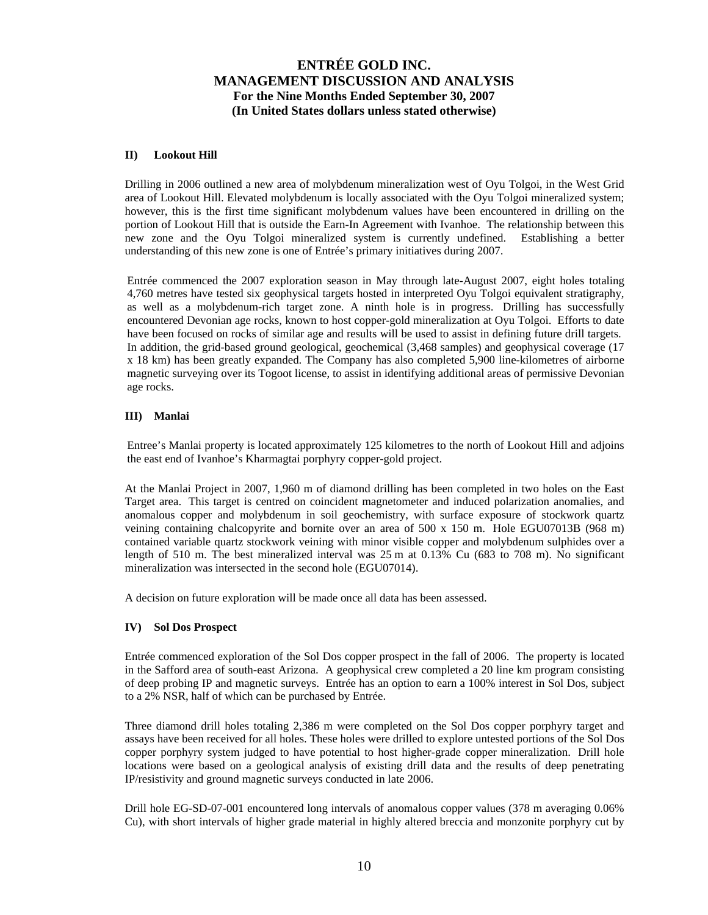### **II) Lookout Hill**

Drilling in 2006 outlined a new area of molybdenum mineralization west of Oyu Tolgoi, in the West Grid area of Lookout Hill. Elevated molybdenum is locally associated with the Oyu Tolgoi mineralized system; however, this is the first time significant molybdenum values have been encountered in drilling on the portion of Lookout Hill that is outside the Earn-In Agreement with Ivanhoe. The relationship between this new zone and the Oyu Tolgoi mineralized system is currently undefined. Establishing a better understanding of this new zone is one of Entrée's primary initiatives during 2007.

Entrée commenced the 2007 exploration season in May through late-August 2007, eight holes totaling 4,760 metres have tested six geophysical targets hosted in interpreted Oyu Tolgoi equivalent stratigraphy, as well as a molybdenum-rich target zone. A ninth hole is in progress. Drilling has successfully encountered Devonian age rocks, known to host copper-gold mineralization at Oyu Tolgoi. Efforts to date have been focused on rocks of similar age and results will be used to assist in defining future drill targets. In addition, the grid-based ground geological, geochemical (3,468 samples) and geophysical coverage (17 x 18 km) has been greatly expanded. The Company has also completed 5,900 line-kilometres of airborne magnetic surveying over its Togoot license, to assist in identifying additional areas of permissive Devonian age rocks.

### **III) Manlai**

Entree's Manlai property is located approximately 125 kilometres to the north of Lookout Hill and adjoins the east end of Ivanhoe's Kharmagtai porphyry copper-gold project.

At the Manlai Project in 2007, 1,960 m of diamond drilling has been completed in two holes on the East Target area. This target is centred on coincident magnetometer and induced polarization anomalies, and anomalous copper and molybdenum in soil geochemistry, with surface exposure of stockwork quartz veining containing chalcopyrite and bornite over an area of 500 x 150 m. Hole EGU07013B (968 m) contained variable quartz stockwork veining with minor visible copper and molybdenum sulphides over a length of 510 m. The best mineralized interval was 25 m at 0.13% Cu (683 to 708 m). No significant mineralization was intersected in the second hole (EGU07014).

A decision on future exploration will be made once all data has been assessed.

#### **IV) Sol Dos Prospect**

Entrée commenced exploration of the Sol Dos copper prospect in the fall of 2006. The property is located in the Safford area of south-east Arizona. A geophysical crew completed a 20 line km program consisting of deep probing IP and magnetic surveys. Entrée has an option to earn a 100% interest in Sol Dos, subject to a 2% NSR, half of which can be purchased by Entrée.

Three diamond drill holes totaling 2,386 m were completed on the Sol Dos copper porphyry target and assays have been received for all holes. These holes were drilled to explore untested portions of the Sol Dos copper porphyry system judged to have potential to host higher-grade copper mineralization. Drill hole locations were based on a geological analysis of existing drill data and the results of deep penetrating IP/resistivity and ground magnetic surveys conducted in late 2006.

Drill hole EG-SD-07-001 encountered long intervals of anomalous copper values (378 m averaging 0.06% Cu), with short intervals of higher grade material in highly altered breccia and monzonite porphyry cut by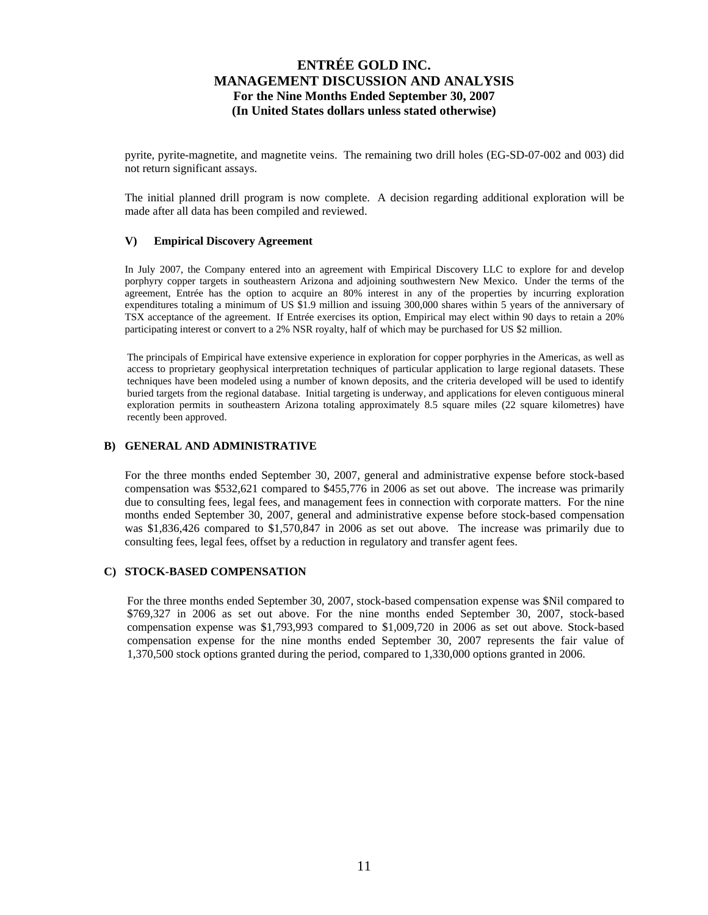pyrite, pyrite-magnetite, and magnetite veins. The remaining two drill holes (EG-SD-07-002 and 003) did not return significant assays.

The initial planned drill program is now complete. A decision regarding additional exploration will be made after all data has been compiled and reviewed.

#### **V) Empirical Discovery Agreement**

In July 2007, the Company entered into an agreement with Empirical Discovery LLC to explore for and develop porphyry copper targets in southeastern Arizona and adjoining southwestern New Mexico. Under the terms of the agreement, Entrée has the option to acquire an 80% interest in any of the properties by incurring exploration expenditures totaling a minimum of US \$1.9 million and issuing 300,000 shares within 5 years of the anniversary of TSX acceptance of the agreement. If Entrée exercises its option, Empirical may elect within 90 days to retain a 20% participating interest or convert to a 2% NSR royalty, half of which may be purchased for US \$2 million.

The principals of Empirical have extensive experience in exploration for copper porphyries in the Americas, as well as access to proprietary geophysical interpretation techniques of particular application to large regional datasets. These techniques have been modeled using a number of known deposits, and the criteria developed will be used to identify buried targets from the regional database. Initial targeting is underway, and applications for eleven contiguous mineral exploration permits in southeastern Arizona totaling approximately 8.5 square miles (22 square kilometres) have recently been approved.

### **B) GENERAL AND ADMINISTRATIVE**

For the three months ended September 30, 2007, general and administrative expense before stock-based compensation was \$532,621 compared to \$455,776 in 2006 as set out above. The increase was primarily due to consulting fees, legal fees, and management fees in connection with corporate matters. For the nine months ended September 30, 2007, general and administrative expense before stock-based compensation was \$1,836,426 compared to \$1,570,847 in 2006 as set out above. The increase was primarily due to consulting fees, legal fees, offset by a reduction in regulatory and transfer agent fees.

### **C) STOCK-BASED COMPENSATION**

For the three months ended September 30, 2007, stock-based compensation expense was \$Nil compared to \$769,327 in 2006 as set out above. For the nine months ended September 30, 2007, stock-based compensation expense was \$1,793,993 compared to \$1,009,720 in 2006 as set out above. Stock-based compensation expense for the nine months ended September 30, 2007 represents the fair value of 1,370,500 stock options granted during the period, compared to 1,330,000 options granted in 2006.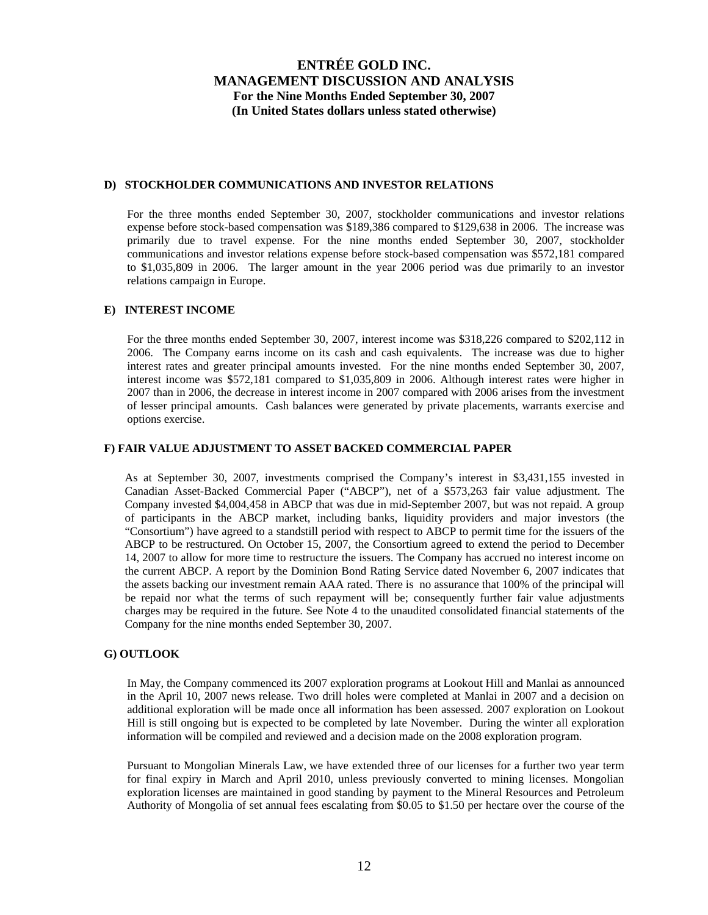### **D) STOCKHOLDER COMMUNICATIONS AND INVESTOR RELATIONS**

For the three months ended September 30, 2007, stockholder communications and investor relations expense before stock-based compensation was \$189,386 compared to \$129,638 in 2006. The increase was primarily due to travel expense. For the nine months ended September 30, 2007, stockholder communications and investor relations expense before stock-based compensation was \$572,181 compared to \$1,035,809 in 2006. The larger amount in the year 2006 period was due primarily to an investor relations campaign in Europe.

### **E) INTEREST INCOME**

For the three months ended September 30, 2007, interest income was \$318,226 compared to \$202,112 in 2006. The Company earns income on its cash and cash equivalents. The increase was due to higher interest rates and greater principal amounts invested. For the nine months ended September 30, 2007, interest income was \$572,181 compared to \$1,035,809 in 2006. Although interest rates were higher in 2007 than in 2006, the decrease in interest income in 2007 compared with 2006 arises from the investment of lesser principal amounts. Cash balances were generated by private placements, warrants exercise and options exercise.

#### **F) FAIR VALUE ADJUSTMENT TO ASSET BACKED COMMERCIAL PAPER**

As at September 30, 2007, investments comprised the Company's interest in \$3,431,155 invested in Canadian Asset-Backed Commercial Paper ("ABCP"), net of a \$573,263 fair value adjustment. The Company invested \$4,004,458 in ABCP that was due in mid-September 2007, but was not repaid. A group of participants in the ABCP market, including banks, liquidity providers and major investors (the "Consortium") have agreed to a standstill period with respect to ABCP to permit time for the issuers of the ABCP to be restructured. On October 15, 2007, the Consortium agreed to extend the period to December 14, 2007 to allow for more time to restructure the issuers. The Company has accrued no interest income on the current ABCP. A report by the Dominion Bond Rating Service dated November 6, 2007 indicates that the assets backing our investment remain AAA rated. There is no assurance that 100% of the principal will be repaid nor what the terms of such repayment will be; consequently further fair value adjustments charges may be required in the future. See Note 4 to the unaudited consolidated financial statements of the Company for the nine months ended September 30, 2007.

#### **G) OUTLOOK**

In May, the Company commenced its 2007 exploration programs at Lookout Hill and Manlai as announced in the April 10, 2007 news release. Two drill holes were completed at Manlai in 2007 and a decision on additional exploration will be made once all information has been assessed. 2007 exploration on Lookout Hill is still ongoing but is expected to be completed by late November. During the winter all exploration information will be compiled and reviewed and a decision made on the 2008 exploration program.

Pursuant to Mongolian Minerals Law, we have extended three of our licenses for a further two year term for final expiry in March and April 2010, unless previously converted to mining licenses. Mongolian exploration licenses are maintained in good standing by payment to the Mineral Resources and Petroleum Authority of Mongolia of set annual fees escalating from \$0.05 to \$1.50 per hectare over the course of the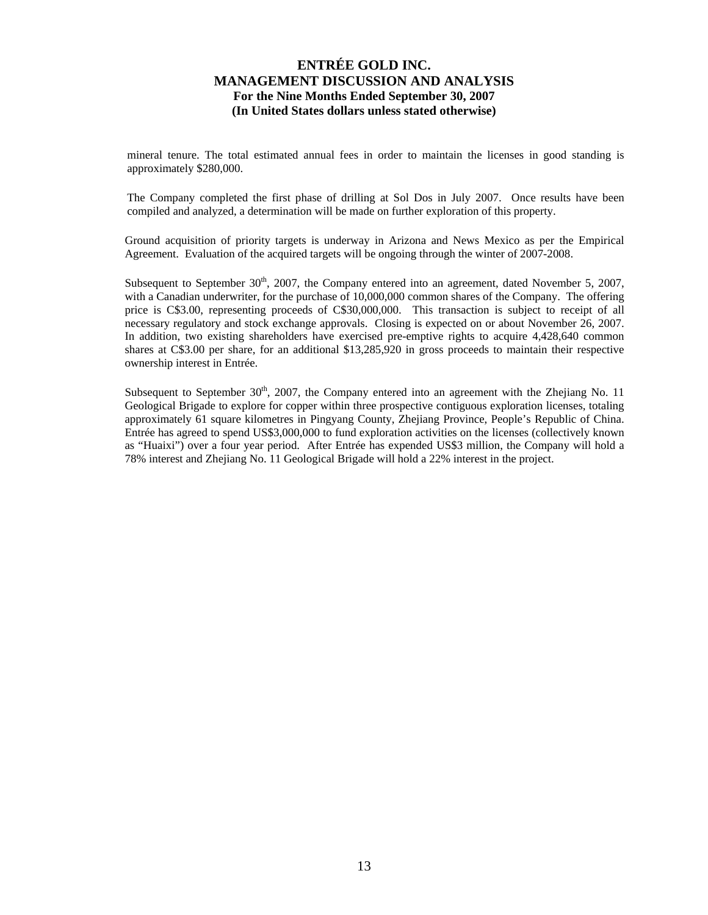mineral tenure. The total estimated annual fees in order to maintain the licenses in good standing is approximately \$280,000.

The Company completed the first phase of drilling at Sol Dos in July 2007. Once results have been compiled and analyzed, a determination will be made on further exploration of this property.

Ground acquisition of priority targets is underway in Arizona and News Mexico as per the Empirical Agreement. Evaluation of the acquired targets will be ongoing through the winter of 2007-2008.

Subsequent to September  $30<sup>th</sup>$ ,  $2007$ , the Company entered into an agreement, dated November 5,  $2007$ , with a Canadian underwriter, for the purchase of 10,000,000 common shares of the Company. The offering price is C\$3.00, representing proceeds of C\$30,000,000. This transaction is subject to receipt of all necessary regulatory and stock exchange approvals. Closing is expected on or about November 26, 2007. In addition, two existing shareholders have exercised pre-emptive rights to acquire 4,428,640 common shares at C\$3.00 per share, for an additional \$13,285,920 in gross proceeds to maintain their respective ownership interest in Entrée.

Subsequent to September  $30<sup>th</sup>$ , 2007, the Company entered into an agreement with the Zhejiang No. 11 Geological Brigade to explore for copper within three prospective contiguous exploration licenses, totaling approximately 61 square kilometres in Pingyang County, Zhejiang Province, People's Republic of China. Entrée has agreed to spend US\$3,000,000 to fund exploration activities on the licenses (collectively known as "Huaixi") over a four year period. After Entrée has expended US\$3 million, the Company will hold a 78% interest and Zhejiang No. 11 Geological Brigade will hold a 22% interest in the project.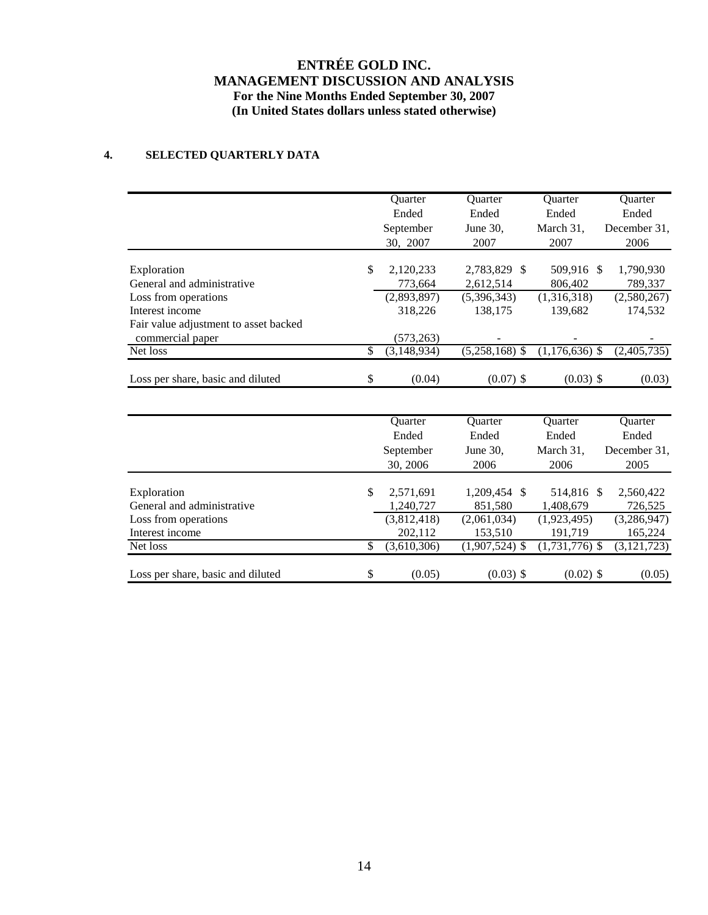# **4. SELECTED QUARTERLY DATA**

|                                       | Quarter             | Quarter          | Quarter          | Quarter        |
|---------------------------------------|---------------------|------------------|------------------|----------------|
|                                       | Ended               | Ended            | Ended            | Ended          |
|                                       | September           | June 30,         | March 31,        | December 31,   |
|                                       | 30, 2007            | 2007             | 2007             | 2006           |
|                                       |                     |                  |                  |                |
| Exploration                           | \$<br>2,120,233     | 2,783,829 \$     | 509.916 \$       | 1,790,930      |
| General and administrative            | 773,664             | 2,612,514        | 806,402          | 789,337        |
| Loss from operations                  | (2,893,897)         | (5,396,343)      | (1,316,318)      | (2,580,267)    |
| Interest income                       | 318,226             | 138,175          | 139,682          | 174,532        |
| Fair value adjustment to asset backed |                     |                  |                  |                |
| commercial paper                      | (573,263)           |                  |                  |                |
| Net loss                              | \$<br>(3, 148, 934) | $(5,258,168)$ \$ | $(1,176,636)$ \$ | (2,405,735)    |
| Loss per share, basic and diluted     | \$<br>(0.04)        | $(0.07)$ \$      | $(0.03)$ \$      | (0.03)         |
|                                       |                     |                  |                  |                |
|                                       | Ouarter             | <b>Ouarter</b>   | <b>Ouarter</b>   | <b>Ouarter</b> |
|                                       | Ended               | Ended            | Ended            | Ended          |
|                                       | September           | June 30,         | March 31,        | December 31,   |
|                                       | 30, 2006            | 2006             | 2006             | 2005           |
|                                       |                     |                  |                  |                |
| Exploration                           | \$<br>2,571,691     | 1,209,454 \$     | 514,816 \$       | 2,560,422      |
| General and administrative            | 1,240,727           | 851,580          | 1,408,679        | 726,525        |
| Loss from operations                  | (3,812,418)         | (2,061,034)      | (1,923,495)      | (3,286,947)    |
| Interest income                       | 202,112             | 153,510          | 191,719          | 165,224        |
| Net loss                              | \$<br>(3,610,306)   | $(1,907,524)$ \$ | $(1,731,776)$ \$ | (3, 121, 723)  |
| Loss per share, basic and diluted     | \$<br>(0.05)        | $(0.03)$ \$      | $(0.02)$ \$      | (0.05)         |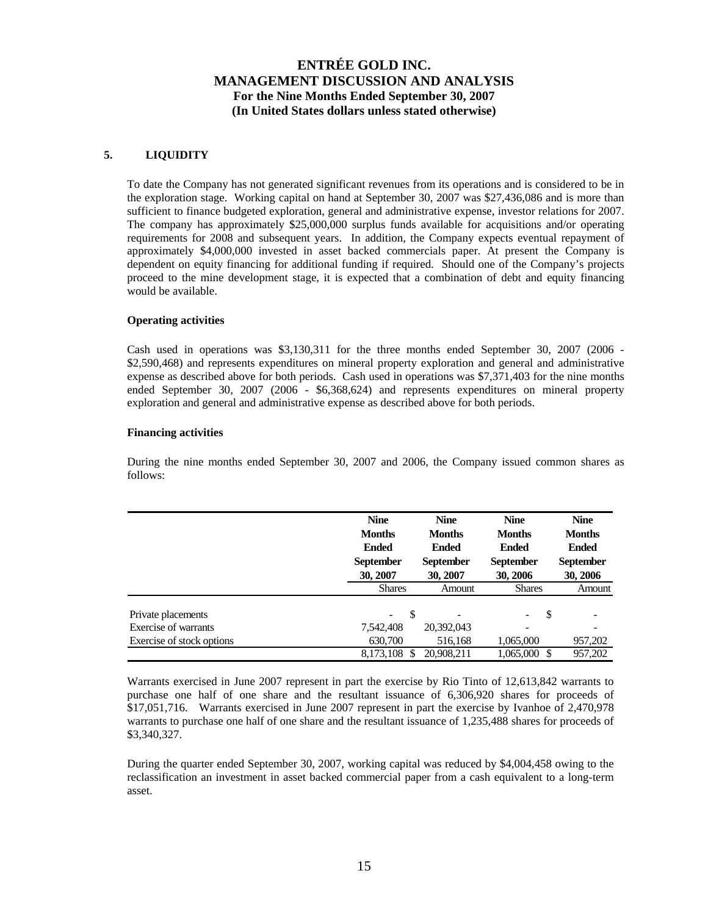### **5. LIQUIDITY**

To date the Company has not generated significant revenues from its operations and is considered to be in the exploration stage. Working capital on hand at September 30, 2007 was \$27,436,086 and is more than sufficient to finance budgeted exploration, general and administrative expense, investor relations for 2007. The company has approximately \$25,000,000 surplus funds available for acquisitions and/or operating requirements for 2008 and subsequent years. In addition, the Company expects eventual repayment of approximately \$4,000,000 invested in asset backed commercials paper. At present the Company is dependent on equity financing for additional funding if required. Should one of the Company's projects proceed to the mine development stage, it is expected that a combination of debt and equity financing would be available.

#### **Operating activities**

Cash used in operations was \$3,130,311 for the three months ended September 30, 2007 (2006 - \$2,590,468) and represents expenditures on mineral property exploration and general and administrative expense as described above for both periods. Cash used in operations was \$7,371,403 for the nine months ended September 30, 2007 (2006 - \$6,368,624) and represents expenditures on mineral property exploration and general and administrative expense as described above for both periods.

#### **Financing activities**

During the nine months ended September 30, 2007 and 2006, the Company issued common shares as follows:

|                           | <b>Nine</b><br><b>Months</b><br><b>Ended</b><br><b>September</b><br>30, 2007 | <b>Nine</b><br><b>Months</b><br><b>Ended</b><br><b>September</b><br>30, 2007 | <b>Nine</b><br><b>Months</b><br><b>Ended</b><br><b>September</b><br>30, 2006 | <b>Nine</b><br><b>Months</b><br><b>Ended</b><br><b>September</b><br>30, 2006 |  |
|---------------------------|------------------------------------------------------------------------------|------------------------------------------------------------------------------|------------------------------------------------------------------------------|------------------------------------------------------------------------------|--|
|                           | <b>Shares</b>                                                                | Amount                                                                       | <b>Shares</b>                                                                | Amount                                                                       |  |
| Private placements        | -S<br>$\overline{\phantom{a}}$                                               |                                                                              | S                                                                            |                                                                              |  |
| Exercise of warrants      | 7,542,408                                                                    | 20,392,043                                                                   |                                                                              |                                                                              |  |
| Exercise of stock options | 630,700                                                                      | 516,168                                                                      | 1,065,000                                                                    | 957,202                                                                      |  |
|                           | 8,173,108 \$                                                                 | 20.908.211                                                                   | 1,065,000 \$                                                                 | 957.202                                                                      |  |

Warrants exercised in June 2007 represent in part the exercise by Rio Tinto of 12,613,842 warrants to purchase one half of one share and the resultant issuance of 6,306,920 shares for proceeds of \$17,051,716. Warrants exercised in June 2007 represent in part the exercise by Ivanhoe of 2,470,978 warrants to purchase one half of one share and the resultant issuance of 1,235,488 shares for proceeds of \$3,340,327.

During the quarter ended September 30, 2007, working capital was reduced by \$4,004,458 owing to the reclassification an investment in asset backed commercial paper from a cash equivalent to a long-term asset.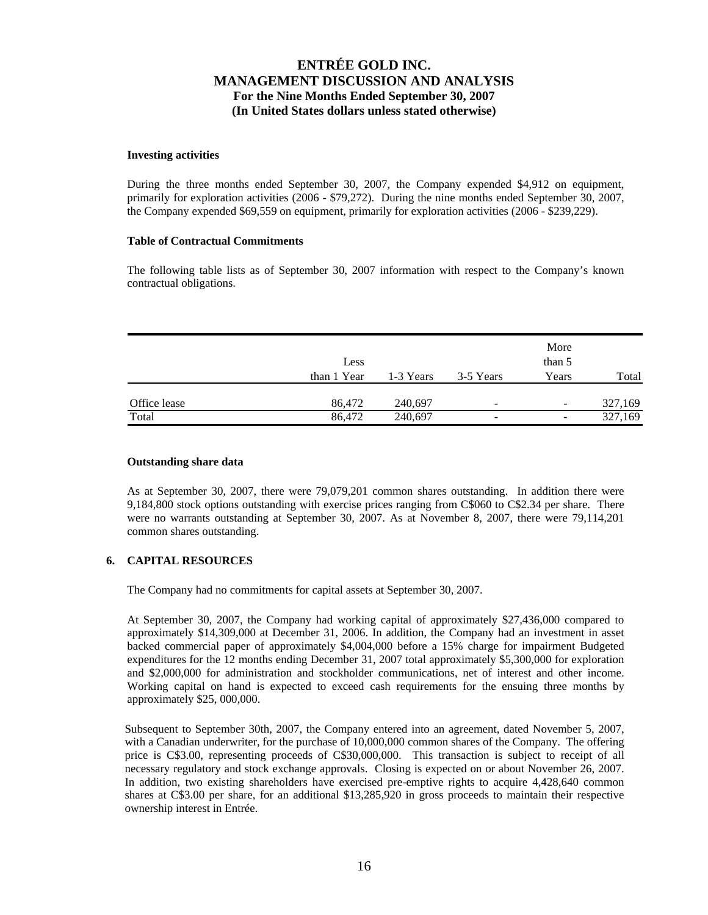#### **Investing activities**

During the three months ended September 30, 2007, the Company expended \$4,912 on equipment, primarily for exploration activities (2006 - \$79,272). During the nine months ended September 30, 2007, the Company expended \$69,559 on equipment, primarily for exploration activities (2006 - \$239,229).

### **Table of Contractual Commitments**

The following table lists as of September 30, 2007 information with respect to the Company's known contractual obligations.

|              | Less        |           |                          | More<br>than 5           |         |
|--------------|-------------|-----------|--------------------------|--------------------------|---------|
|              | than 1 Year | 1-3 Years | 3-5 Years                | Years                    | Total   |
| Office lease | 86,472      | 240,697   |                          |                          |         |
|              |             |           | $\overline{\phantom{0}}$ | $\overline{\phantom{0}}$ | 327,169 |
| Total        | 86,472      | 240,697   | -                        | -                        | 327,169 |

### **Outstanding share data**

As at September 30, 2007, there were 79,079,201 common shares outstanding. In addition there were 9,184,800 stock options outstanding with exercise prices ranging from C\$060 to C\$2.34 per share. There were no warrants outstanding at September 30, 2007. As at November 8, 2007, there were 79,114,201 common shares outstanding.

### **6. CAPITAL RESOURCES**

The Company had no commitments for capital assets at September 30, 2007.

At September 30, 2007, the Company had working capital of approximately \$27,436,000 compared to approximately \$14,309,000 at December 31, 2006. In addition, the Company had an investment in asset backed commercial paper of approximately \$4,004,000 before a 15% charge for impairment Budgeted expenditures for the 12 months ending December 31, 2007 total approximately \$5,300,000 for exploration and \$2,000,000 for administration and stockholder communications, net of interest and other income. Working capital on hand is expected to exceed cash requirements for the ensuing three months by approximately \$25, 000,000.

Subsequent to September 30th, 2007, the Company entered into an agreement, dated November 5, 2007, with a Canadian underwriter, for the purchase of 10,000,000 common shares of the Company. The offering price is C\$3.00, representing proceeds of C\$30,000,000. This transaction is subject to receipt of all necessary regulatory and stock exchange approvals. Closing is expected on or about November 26, 2007. In addition, two existing shareholders have exercised pre-emptive rights to acquire 4,428,640 common shares at C\$3.00 per share, for an additional \$13,285,920 in gross proceeds to maintain their respective ownership interest in Entrée.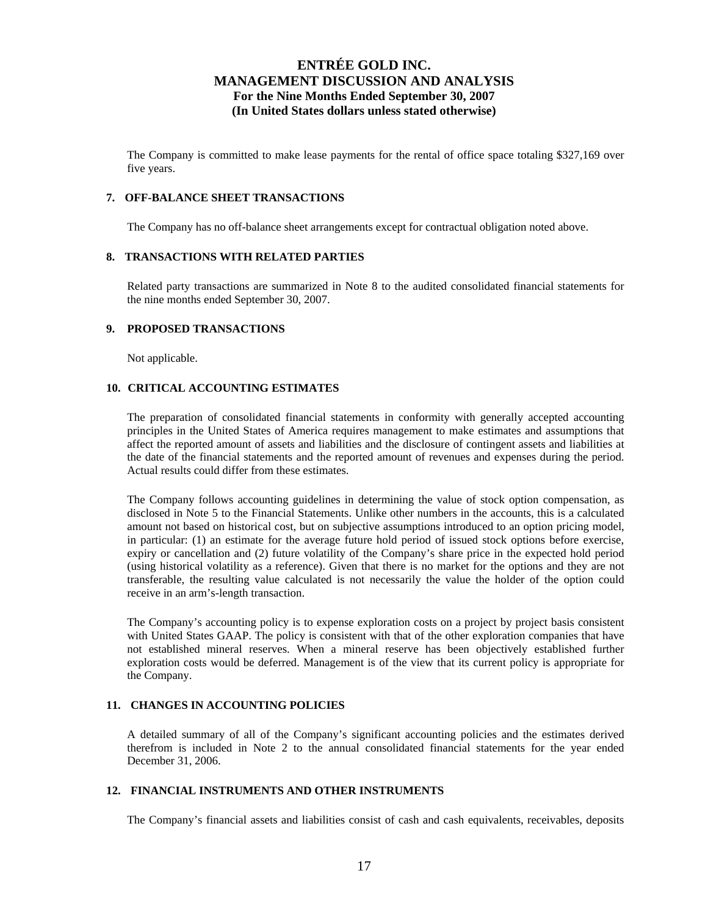The Company is committed to make lease payments for the rental of office space totaling \$327,169 over five years.

#### **7. OFF-BALANCE SHEET TRANSACTIONS**

The Company has no off-balance sheet arrangements except for contractual obligation noted above.

### **8. TRANSACTIONS WITH RELATED PARTIES**

Related party transactions are summarized in Note 8 to the audited consolidated financial statements for the nine months ended September 30, 2007.

### **9. PROPOSED TRANSACTIONS**

Not applicable.

### **10. CRITICAL ACCOUNTING ESTIMATES**

The preparation of consolidated financial statements in conformity with generally accepted accounting principles in the United States of America requires management to make estimates and assumptions that affect the reported amount of assets and liabilities and the disclosure of contingent assets and liabilities at the date of the financial statements and the reported amount of revenues and expenses during the period. Actual results could differ from these estimates.

The Company follows accounting guidelines in determining the value of stock option compensation, as disclosed in Note 5 to the Financial Statements. Unlike other numbers in the accounts, this is a calculated amount not based on historical cost, but on subjective assumptions introduced to an option pricing model, in particular: (1) an estimate for the average future hold period of issued stock options before exercise, expiry or cancellation and (2) future volatility of the Company's share price in the expected hold period (using historical volatility as a reference). Given that there is no market for the options and they are not transferable, the resulting value calculated is not necessarily the value the holder of the option could receive in an arm's-length transaction.

The Company's accounting policy is to expense exploration costs on a project by project basis consistent with United States GAAP. The policy is consistent with that of the other exploration companies that have not established mineral reserves. When a mineral reserve has been objectively established further exploration costs would be deferred. Management is of the view that its current policy is appropriate for the Company.

## **11. CHANGES IN ACCOUNTING POLICIES**

A detailed summary of all of the Company's significant accounting policies and the estimates derived therefrom is included in Note 2 to the annual consolidated financial statements for the year ended December 31, 2006.

### **12. FINANCIAL INSTRUMENTS AND OTHER INSTRUMENTS**

The Company's financial assets and liabilities consist of cash and cash equivalents, receivables, deposits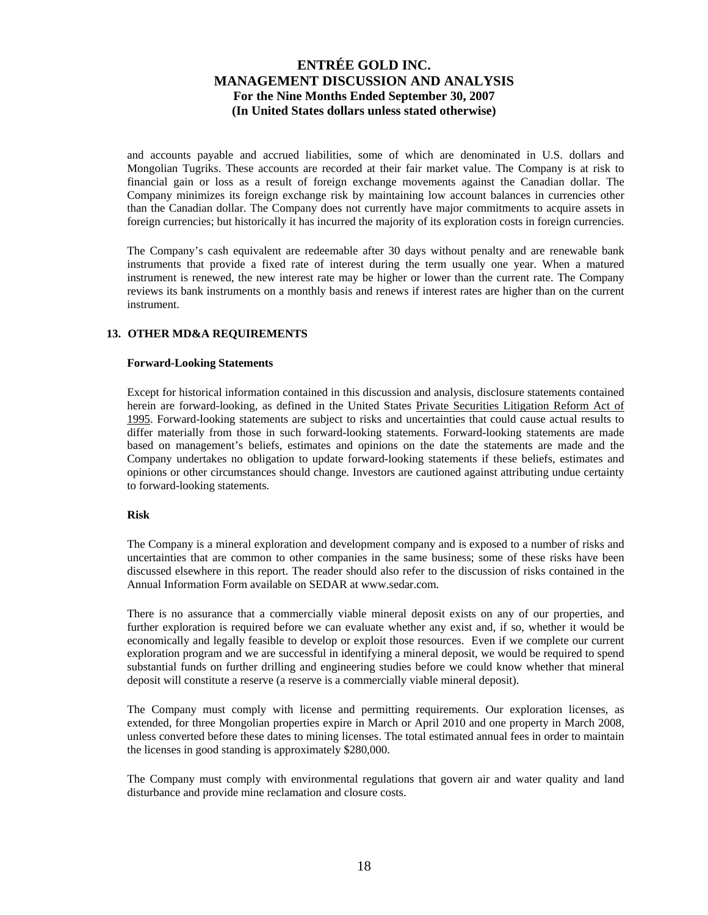and accounts payable and accrued liabilities, some of which are denominated in U.S. dollars and Mongolian Tugriks. These accounts are recorded at their fair market value. The Company is at risk to financial gain or loss as a result of foreign exchange movements against the Canadian dollar. The Company minimizes its foreign exchange risk by maintaining low account balances in currencies other than the Canadian dollar. The Company does not currently have major commitments to acquire assets in foreign currencies; but historically it has incurred the majority of its exploration costs in foreign currencies.

The Company's cash equivalent are redeemable after 30 days without penalty and are renewable bank instruments that provide a fixed rate of interest during the term usually one year. When a matured instrument is renewed, the new interest rate may be higher or lower than the current rate. The Company reviews its bank instruments on a monthly basis and renews if interest rates are higher than on the current instrument.

### **13. OTHER MD&A REQUIREMENTS**

#### **Forward-Looking Statements**

Except for historical information contained in this discussion and analysis, disclosure statements contained herein are forward-looking, as defined in the United States Private Securities Litigation Reform Act of 1995. Forward-looking statements are subject to risks and uncertainties that could cause actual results to differ materially from those in such forward-looking statements. Forward-looking statements are made based on management's beliefs, estimates and opinions on the date the statements are made and the Company undertakes no obligation to update forward-looking statements if these beliefs, estimates and opinions or other circumstances should change. Investors are cautioned against attributing undue certainty to forward-looking statements.

#### **Risk**

The Company is a mineral exploration and development company and is exposed to a number of risks and uncertainties that are common to other companies in the same business; some of these risks have been discussed elsewhere in this report. The reader should also refer to the discussion of risks contained in the Annual Information Form available on SEDAR at www.sedar.com.

There is no assurance that a commercially viable mineral deposit exists on any of our properties, and further exploration is required before we can evaluate whether any exist and, if so, whether it would be economically and legally feasible to develop or exploit those resources. Even if we complete our current exploration program and we are successful in identifying a mineral deposit, we would be required to spend substantial funds on further drilling and engineering studies before we could know whether that mineral deposit will constitute a reserve (a reserve is a commercially viable mineral deposit).

The Company must comply with license and permitting requirements. Our exploration licenses, as extended, for three Mongolian properties expire in March or April 2010 and one property in March 2008, unless converted before these dates to mining licenses. The total estimated annual fees in order to maintain the licenses in good standing is approximately \$280,000.

The Company must comply with environmental regulations that govern air and water quality and land disturbance and provide mine reclamation and closure costs.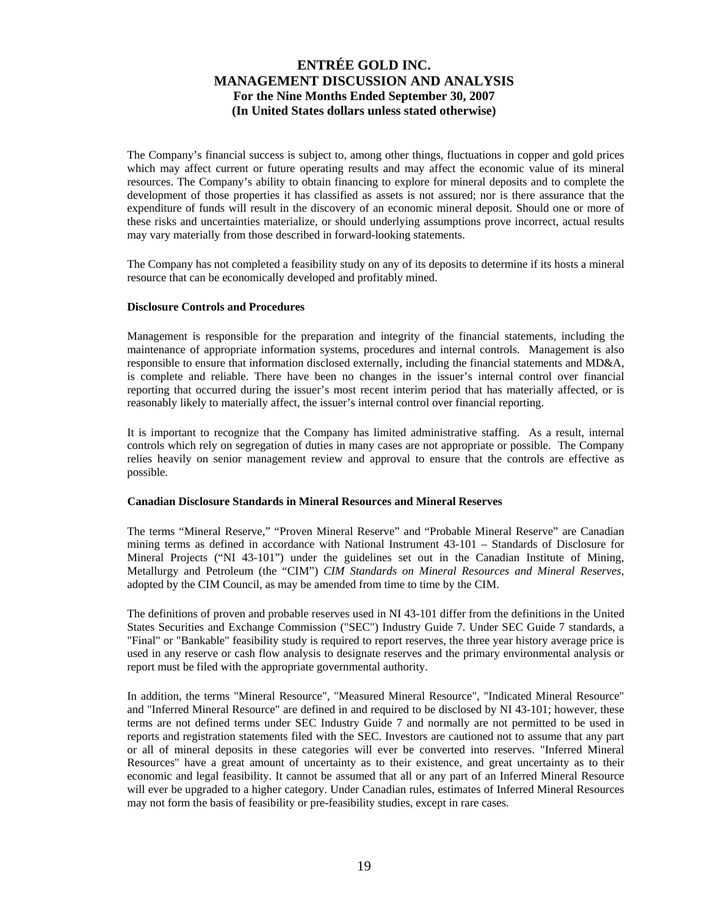The Company's financial success is subject to, among other things, fluctuations in copper and gold prices which may affect current or future operating results and may affect the economic value of its mineral resources. The Company's ability to obtain financing to explore for mineral deposits and to complete the development of those properties it has classified as assets is not assured; nor is there assurance that the expenditure of funds will result in the discovery of an economic mineral deposit. Should one or more of these risks and uncertainties materialize, or should underlying assumptions prove incorrect, actual results may vary materially from those described in forward-looking statements.

The Company has not completed a feasibility study on any of its deposits to determine if its hosts a mineral resource that can be economically developed and profitably mined.

#### **Disclosure Controls and Procedures**

Management is responsible for the preparation and integrity of the financial statements, including the maintenance of appropriate information systems, procedures and internal controls. Management is also responsible to ensure that information disclosed externally, including the financial statements and MD&A, is complete and reliable. There have been no changes in the issuer's internal control over financial reporting that occurred during the issuer's most recent interim period that has materially affected, or is reasonably likely to materially affect, the issuer's internal control over financial reporting.

It is important to recognize that the Company has limited administrative staffing. As a result, internal controls which rely on segregation of duties in many cases are not appropriate or possible. The Company relies heavily on senior management review and approval to ensure that the controls are effective as possible.

### **Canadian Disclosure Standards in Mineral Resources and Mineral Reserves**

The terms "Mineral Reserve," "Proven Mineral Reserve" and "Probable Mineral Reserve" are Canadian mining terms as defined in accordance with National Instrument 43-101 – Standards of Disclosure for Mineral Projects ("NI 43-101") under the guidelines set out in the Canadian Institute of Mining, Metallurgy and Petroleum (the "CIM") *CIM Standards on Mineral Resources and Mineral Reserves*, adopted by the CIM Council, as may be amended from time to time by the CIM.

The definitions of proven and probable reserves used in NI 43-101 differ from the definitions in the United States Securities and Exchange Commission ("SEC") Industry Guide 7. Under SEC Guide 7 standards, a "Final" or "Bankable" feasibility study is required to report reserves, the three year history average price is used in any reserve or cash flow analysis to designate reserves and the primary environmental analysis or report must be filed with the appropriate governmental authority.

In addition, the terms "Mineral Resource", "Measured Mineral Resource", "Indicated Mineral Resource" and "Inferred Mineral Resource" are defined in and required to be disclosed by NI 43-101; however, these terms are not defined terms under SEC Industry Guide 7 and normally are not permitted to be used in reports and registration statements filed with the SEC. Investors are cautioned not to assume that any part or all of mineral deposits in these categories will ever be converted into reserves. "Inferred Mineral Resources" have a great amount of uncertainty as to their existence, and great uncertainty as to their economic and legal feasibility. It cannot be assumed that all or any part of an Inferred Mineral Resource will ever be upgraded to a higher category. Under Canadian rules, estimates of Inferred Mineral Resources may not form the basis of feasibility or pre-feasibility studies, except in rare cases.